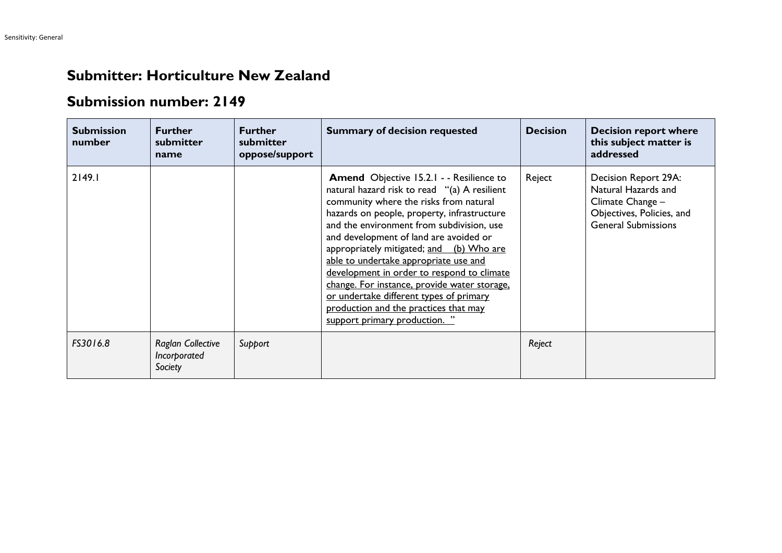## **Submitter: Horticulture New Zealand**

## **Submission number: 2149**

| <b>Submission</b><br>number | <b>Further</b><br>submitter<br>name                 | <b>Further</b><br>submitter<br>oppose/support | <b>Summary of decision requested</b>                                                                                                                                                                                                                                                                                                                                                                                                                                                                                                                                                    | <b>Decision</b> | <b>Decision report where</b><br>this subject matter is<br>addressed                                                        |
|-----------------------------|-----------------------------------------------------|-----------------------------------------------|-----------------------------------------------------------------------------------------------------------------------------------------------------------------------------------------------------------------------------------------------------------------------------------------------------------------------------------------------------------------------------------------------------------------------------------------------------------------------------------------------------------------------------------------------------------------------------------------|-----------------|----------------------------------------------------------------------------------------------------------------------------|
| 2149.1                      |                                                     |                                               | <b>Amend</b> Objective 15.2.1 - - Resilience to<br>natural hazard risk to read "(a) A resilient<br>community where the risks from natural<br>hazards on people, property, infrastructure<br>and the environment from subdivision, use<br>and development of land are avoided or<br>appropriately mitigated; and (b) Who are<br>able to undertake appropriate use and<br>development in order to respond to climate<br>change. For instance, provide water storage,<br>or undertake different types of primary<br>production and the practices that may<br>support primary production. " | Reject          | Decision Report 29A:<br>Natural Hazards and<br>Climate Change -<br>Objectives, Policies, and<br><b>General Submissions</b> |
| FS3016.8                    | <b>Raglan Collective</b><br>Incorporated<br>Society | Support                                       |                                                                                                                                                                                                                                                                                                                                                                                                                                                                                                                                                                                         | Reject          |                                                                                                                            |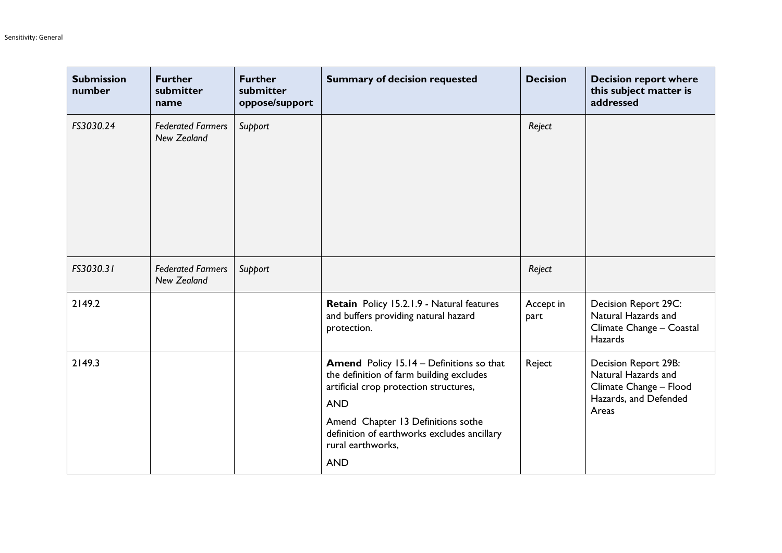| <b>Submission</b><br>number | <b>Further</b><br>submitter<br>name            | <b>Further</b><br>submitter<br>oppose/support | <b>Summary of decision requested</b>                                                                                                                                                                                                                                        | <b>Decision</b>   | <b>Decision report where</b><br>this subject matter is<br>addressed                                            |
|-----------------------------|------------------------------------------------|-----------------------------------------------|-----------------------------------------------------------------------------------------------------------------------------------------------------------------------------------------------------------------------------------------------------------------------------|-------------------|----------------------------------------------------------------------------------------------------------------|
| FS3030.24                   | <b>Federated Farmers</b><br><b>New Zealand</b> | Support                                       |                                                                                                                                                                                                                                                                             | Reject            |                                                                                                                |
| FS3030.31                   | <b>Federated Farmers</b><br><b>New Zealand</b> | Support                                       |                                                                                                                                                                                                                                                                             | Reject            |                                                                                                                |
| 2149.2                      |                                                |                                               | Retain Policy 15.2.1.9 - Natural features<br>and buffers providing natural hazard<br>protection.                                                                                                                                                                            | Accept in<br>part | Decision Report 29C:<br>Natural Hazards and<br>Climate Change - Coastal<br><b>Hazards</b>                      |
| 2149.3                      |                                                |                                               | <b>Amend</b> Policy 15.14 - Definitions so that<br>the definition of farm building excludes<br>artificial crop protection structures,<br><b>AND</b><br>Amend Chapter 13 Definitions sothe<br>definition of earthworks excludes ancillary<br>rural earthworks,<br><b>AND</b> | Reject            | <b>Decision Report 29B:</b><br>Natural Hazards and<br>Climate Change - Flood<br>Hazards, and Defended<br>Areas |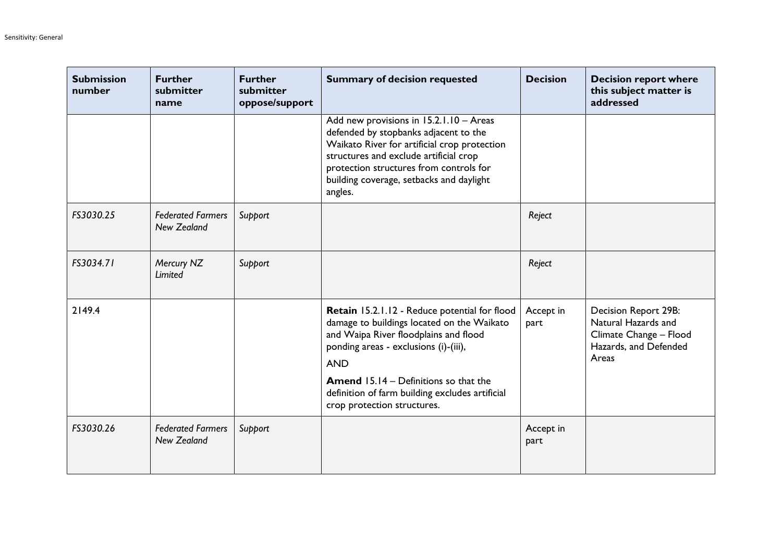| <b>Submission</b><br>number | <b>Further</b><br>submitter<br>name            | <b>Further</b><br>submitter<br>oppose/support | <b>Summary of decision requested</b>                                                                                                                                                                                                                                                           | <b>Decision</b>   | <b>Decision report where</b><br>this subject matter is<br>addressed                                            |
|-----------------------------|------------------------------------------------|-----------------------------------------------|------------------------------------------------------------------------------------------------------------------------------------------------------------------------------------------------------------------------------------------------------------------------------------------------|-------------------|----------------------------------------------------------------------------------------------------------------|
|                             |                                                |                                               | Add new provisions in 15.2.1.10 - Areas<br>defended by stopbanks adjacent to the<br>Waikato River for artificial crop protection<br>structures and exclude artificial crop<br>protection structures from controls for<br>building coverage, setbacks and daylight<br>angles.                   |                   |                                                                                                                |
| FS3030.25                   | <b>Federated Farmers</b><br>New Zealand        | Support                                       |                                                                                                                                                                                                                                                                                                | Reject            |                                                                                                                |
| FS3034.71                   | Mercury NZ<br>Limited                          | Support                                       |                                                                                                                                                                                                                                                                                                | Reject            |                                                                                                                |
| 2149.4                      |                                                |                                               | Retain 15.2.1.12 - Reduce potential for flood<br>damage to buildings located on the Waikato<br>and Waipa River floodplains and flood<br>ponding areas - exclusions (i)-(iii),<br><b>AND</b><br><b>Amend 15.14 - Definitions so that the</b><br>definition of farm building excludes artificial | Accept in<br>part | <b>Decision Report 29B:</b><br>Natural Hazards and<br>Climate Change - Flood<br>Hazards, and Defended<br>Areas |
|                             |                                                |                                               | crop protection structures.                                                                                                                                                                                                                                                                    |                   |                                                                                                                |
| FS3030.26                   | <b>Federated Farmers</b><br><b>New Zealand</b> | Support                                       |                                                                                                                                                                                                                                                                                                | Accept in<br>part |                                                                                                                |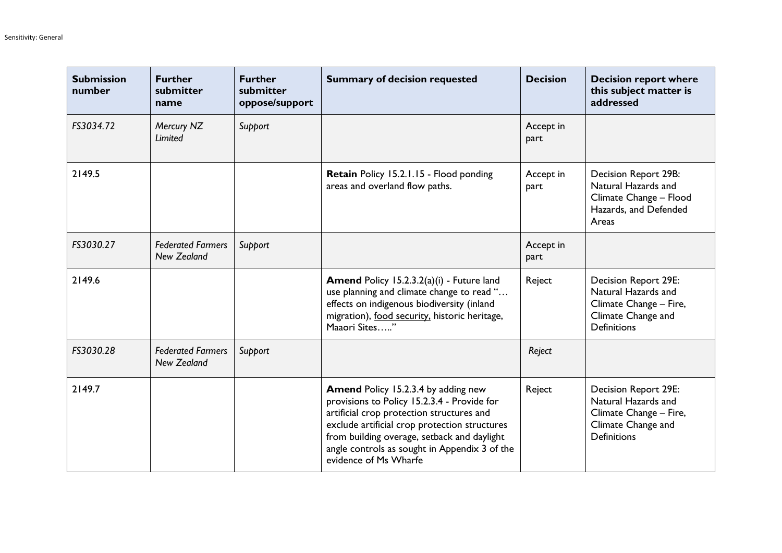| <b>Submission</b><br>number | <b>Further</b><br>submitter<br>name            | <b>Further</b><br>submitter<br>oppose/support | <b>Summary of decision requested</b>                                                                                                                                                                                                                                                                             | <b>Decision</b>   | <b>Decision report where</b><br>this subject matter is<br>addressed                                                      |
|-----------------------------|------------------------------------------------|-----------------------------------------------|------------------------------------------------------------------------------------------------------------------------------------------------------------------------------------------------------------------------------------------------------------------------------------------------------------------|-------------------|--------------------------------------------------------------------------------------------------------------------------|
| FS3034.72                   | Mercury NZ<br>Limited                          | Support                                       |                                                                                                                                                                                                                                                                                                                  | Accept in<br>part |                                                                                                                          |
| 2149.5                      |                                                |                                               | Retain Policy 15.2.1.15 - Flood ponding<br>areas and overland flow paths.                                                                                                                                                                                                                                        | Accept in<br>part | Decision Report 29B:<br>Natural Hazards and<br>Climate Change - Flood<br>Hazards, and Defended<br>Areas                  |
| FS3030.27                   | <b>Federated Farmers</b><br><b>New Zealand</b> | Support                                       |                                                                                                                                                                                                                                                                                                                  | Accept in<br>part |                                                                                                                          |
| 2149.6                      |                                                |                                               | Amend Policy 15.2.3.2(a)(i) - Future land<br>use planning and climate change to read "<br>effects on indigenous biodiversity (inland<br>migration), food security, historic heritage,<br>Maaori Sites"                                                                                                           | Reject            | <b>Decision Report 29E:</b><br>Natural Hazards and<br>Climate Change - Fire,<br>Climate Change and<br><b>Definitions</b> |
| FS3030.28                   | <b>Federated Farmers</b><br><b>New Zealand</b> | Support                                       |                                                                                                                                                                                                                                                                                                                  | Reject            |                                                                                                                          |
| 2149.7                      |                                                |                                               | <b>Amend Policy 15.2.3.4 by adding new</b><br>provisions to Policy 15.2.3.4 - Provide for<br>artificial crop protection structures and<br>exclude artificial crop protection structures<br>from building overage, setback and daylight<br>angle controls as sought in Appendix 3 of the<br>evidence of Ms Wharfe | Reject            | <b>Decision Report 29E:</b><br>Natural Hazards and<br>Climate Change - Fire,<br>Climate Change and<br><b>Definitions</b> |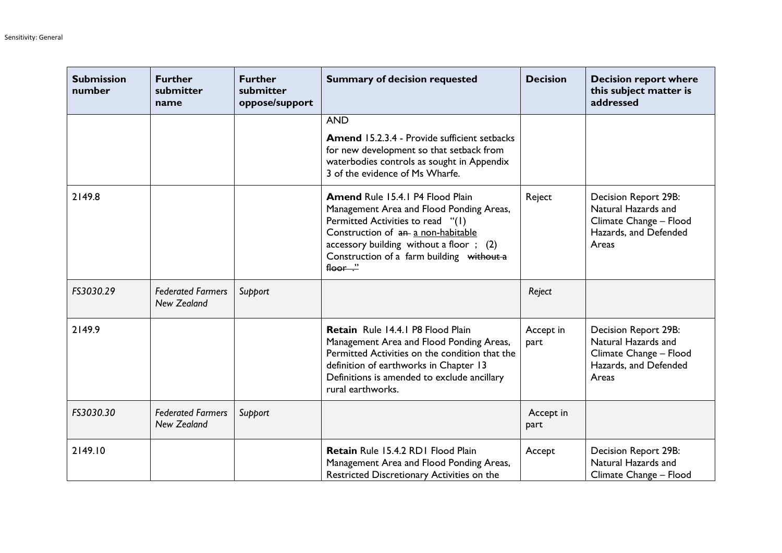| <b>Submission</b><br>number | <b>Further</b><br>submitter<br>name            | <b>Further</b><br>submitter<br>oppose/support | <b>Summary of decision requested</b>                                                                                                                                                                                                                                   | <b>Decision</b>   | <b>Decision report where</b><br>this subject matter is<br>addressed                                            |
|-----------------------------|------------------------------------------------|-----------------------------------------------|------------------------------------------------------------------------------------------------------------------------------------------------------------------------------------------------------------------------------------------------------------------------|-------------------|----------------------------------------------------------------------------------------------------------------|
|                             |                                                |                                               | <b>AND</b>                                                                                                                                                                                                                                                             |                   |                                                                                                                |
|                             |                                                |                                               | <b>Amend 15.2.3.4 - Provide sufficient setbacks</b><br>for new development so that setback from<br>waterbodies controls as sought in Appendix<br>3 of the evidence of Ms Wharfe.                                                                                       |                   |                                                                                                                |
| 2149.8                      |                                                |                                               | Amend Rule 15.4.1 P4 Flood Plain<br>Management Area and Flood Ponding Areas,<br>Permitted Activities to read "(1)<br>Construction of an a non-habitable<br>accessory building without a floor; (2)<br>Construction of a farm building without a<br>$floor \cdot \cdot$ | Reject            | Decision Report 29B:<br>Natural Hazards and<br>Climate Change - Flood<br>Hazards, and Defended<br>Areas        |
| FS3030.29                   | <b>Federated Farmers</b><br><b>New Zealand</b> | Support                                       |                                                                                                                                                                                                                                                                        | Reject            |                                                                                                                |
| 2149.9                      |                                                |                                               | Retain Rule 14.4.1 P8 Flood Plain<br>Management Area and Flood Ponding Areas,<br>Permitted Activities on the condition that the<br>definition of earthworks in Chapter 13<br>Definitions is amended to exclude ancillary<br>rural earthworks.                          | Accept in<br>part | <b>Decision Report 29B:</b><br>Natural Hazards and<br>Climate Change - Flood<br>Hazards, and Defended<br>Areas |
| FS3030.30                   | <b>Federated Farmers</b><br><b>New Zealand</b> | Support                                       |                                                                                                                                                                                                                                                                        | Accept in<br>part |                                                                                                                |
| 2149.10                     |                                                |                                               | Retain Rule 15.4.2 RD1 Flood Plain<br>Management Area and Flood Ponding Areas,<br>Restricted Discretionary Activities on the                                                                                                                                           | Accept            | <b>Decision Report 29B:</b><br>Natural Hazards and<br>Climate Change - Flood                                   |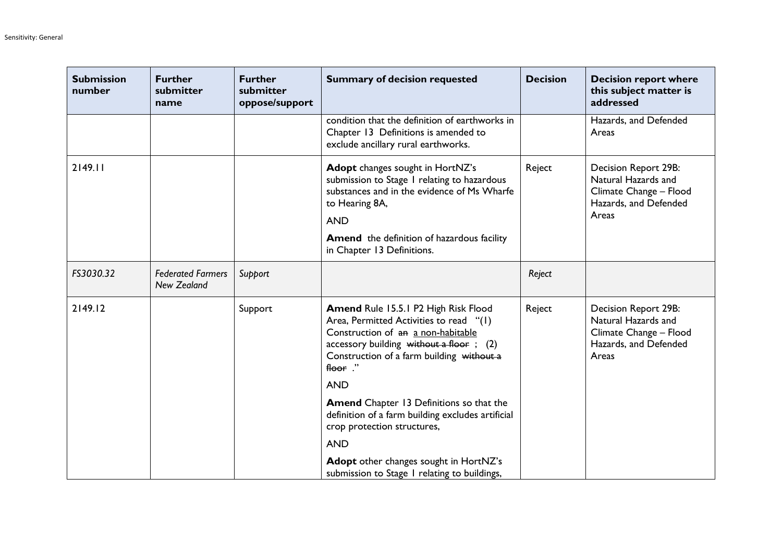| <b>Submission</b><br>number | <b>Further</b><br>submitter<br>name            | <b>Further</b><br>submitter<br>oppose/support | <b>Summary of decision requested</b>                                                                                                                                                                                                | <b>Decision</b> | <b>Decision report where</b><br>this subject matter is<br>addressed                                            |
|-----------------------------|------------------------------------------------|-----------------------------------------------|-------------------------------------------------------------------------------------------------------------------------------------------------------------------------------------------------------------------------------------|-----------------|----------------------------------------------------------------------------------------------------------------|
|                             |                                                |                                               | condition that the definition of earthworks in<br>Chapter 13 Definitions is amended to<br>exclude ancillary rural earthworks.                                                                                                       |                 | Hazards, and Defended<br>Areas                                                                                 |
| 2149.11                     |                                                |                                               | Adopt changes sought in HortNZ's<br>submission to Stage I relating to hazardous<br>substances and in the evidence of Ms Wharfe<br>to Hearing 8A,<br><b>AND</b>                                                                      | Reject          | Decision Report 29B:<br>Natural Hazards and<br>Climate Change - Flood<br>Hazards, and Defended<br>Areas        |
|                             |                                                |                                               | <b>Amend</b> the definition of hazardous facility<br>in Chapter 13 Definitions.                                                                                                                                                     |                 |                                                                                                                |
| FS3030.32                   | <b>Federated Farmers</b><br><b>New Zealand</b> | Support                                       |                                                                                                                                                                                                                                     | Reject          |                                                                                                                |
| 2149.12                     |                                                | Support                                       | <b>Amend Rule 15.5.1 P2 High Risk Flood</b><br>Area, Permitted Activities to read "(1)<br>Construction of an a non-habitable<br>accessory building without a floor; $(2)$<br>Construction of a farm building without a<br>floor $"$ | Reject          | <b>Decision Report 29B:</b><br>Natural Hazards and<br>Climate Change - Flood<br>Hazards, and Defended<br>Areas |
|                             |                                                |                                               | <b>AND</b>                                                                                                                                                                                                                          |                 |                                                                                                                |
|                             |                                                |                                               | <b>Amend</b> Chapter 13 Definitions so that the<br>definition of a farm building excludes artificial<br>crop protection structures,                                                                                                 |                 |                                                                                                                |
|                             |                                                |                                               | <b>AND</b>                                                                                                                                                                                                                          |                 |                                                                                                                |
|                             |                                                |                                               | Adopt other changes sought in HortNZ's<br>submission to Stage 1 relating to buildings,                                                                                                                                              |                 |                                                                                                                |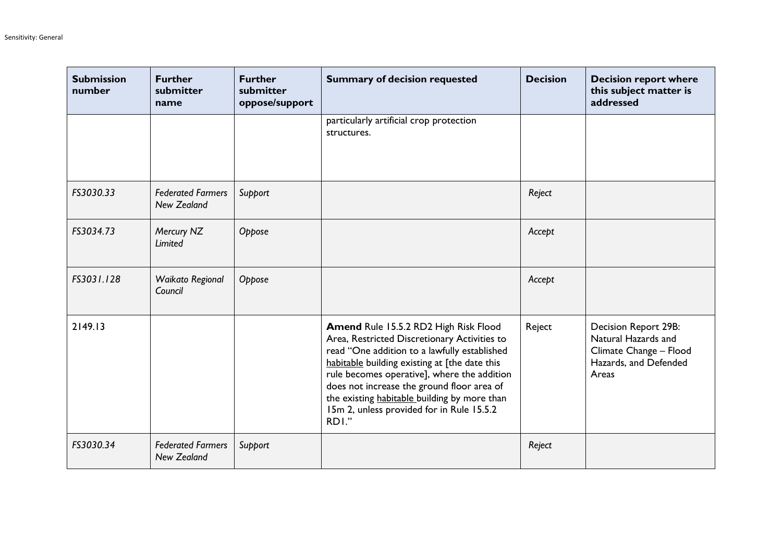| <b>Submission</b><br>number | <b>Further</b><br>submitter<br>name            | <b>Further</b><br>submitter<br>oppose/support | <b>Summary of decision requested</b>                                                                                                                                                                                                                                                                                                                                                      | <b>Decision</b> | <b>Decision report where</b><br>this subject matter is<br>addressed                                            |
|-----------------------------|------------------------------------------------|-----------------------------------------------|-------------------------------------------------------------------------------------------------------------------------------------------------------------------------------------------------------------------------------------------------------------------------------------------------------------------------------------------------------------------------------------------|-----------------|----------------------------------------------------------------------------------------------------------------|
|                             |                                                |                                               | particularly artificial crop protection<br>structures.                                                                                                                                                                                                                                                                                                                                    |                 |                                                                                                                |
| FS3030.33                   | <b>Federated Farmers</b><br><b>New Zealand</b> | Support                                       |                                                                                                                                                                                                                                                                                                                                                                                           | Reject          |                                                                                                                |
| FS3034.73                   | Mercury NZ<br>Limited                          | Oppose                                        |                                                                                                                                                                                                                                                                                                                                                                                           | Accept          |                                                                                                                |
| FS3031.128                  | Waikato Regional<br>Council                    | Oppose                                        |                                                                                                                                                                                                                                                                                                                                                                                           | Accept          |                                                                                                                |
| 2149.13                     |                                                |                                               | Amend Rule 15.5.2 RD2 High Risk Flood<br>Area, Restricted Discretionary Activities to<br>read "One addition to a lawfully established<br>habitable building existing at [the date this<br>rule becomes operative], where the addition<br>does not increase the ground floor area of<br>the existing habitable building by more than<br>15m 2, unless provided for in Rule 15.5.2<br>RDI." | Reject          | <b>Decision Report 29B:</b><br>Natural Hazards and<br>Climate Change - Flood<br>Hazards, and Defended<br>Areas |
| FS3030.34                   | <b>Federated Farmers</b><br><b>New Zealand</b> | Support                                       |                                                                                                                                                                                                                                                                                                                                                                                           | Reject          |                                                                                                                |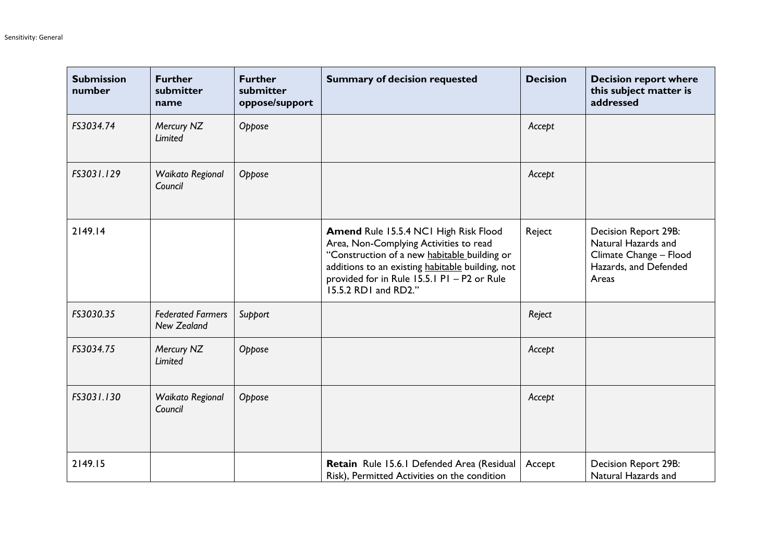| <b>Submission</b><br>number | <b>Further</b><br>submitter<br>name            | <b>Further</b><br>submitter<br>oppose/support | <b>Summary of decision requested</b>                                                                                                                                                                                                                       | <b>Decision</b> | <b>Decision report where</b><br>this subject matter is<br>addressed                                     |
|-----------------------------|------------------------------------------------|-----------------------------------------------|------------------------------------------------------------------------------------------------------------------------------------------------------------------------------------------------------------------------------------------------------------|-----------------|---------------------------------------------------------------------------------------------------------|
| FS3034.74                   | Mercury NZ<br><b>Limited</b>                   | Oppose                                        |                                                                                                                                                                                                                                                            | Accept          |                                                                                                         |
| FS3031.129                  | Waikato Regional<br>Council                    | Oppose                                        |                                                                                                                                                                                                                                                            | Accept          |                                                                                                         |
| 2149.14                     |                                                |                                               | Amend Rule 15.5.4 NCI High Risk Flood<br>Area, Non-Complying Activities to read<br>"Construction of a new habitable building or<br>additions to an existing habitable building, not<br>provided for in Rule 15.5.1 P1 - P2 or Rule<br>15.5.2 RD1 and RD2." | Reject          | Decision Report 29B:<br>Natural Hazards and<br>Climate Change - Flood<br>Hazards, and Defended<br>Areas |
| FS3030.35                   | <b>Federated Farmers</b><br><b>New Zealand</b> | Support                                       |                                                                                                                                                                                                                                                            | Reject          |                                                                                                         |
| FS3034.75                   | Mercury NZ<br>Limited                          | Oppose                                        |                                                                                                                                                                                                                                                            | Accept          |                                                                                                         |
| FS3031.130                  | Waikato Regional<br>Council                    | Oppose                                        |                                                                                                                                                                                                                                                            | Accept          |                                                                                                         |
| 2149.15                     |                                                |                                               | Retain Rule 15.6.1 Defended Area (Residual<br>Risk), Permitted Activities on the condition                                                                                                                                                                 | Accept          | Decision Report 29B:<br>Natural Hazards and                                                             |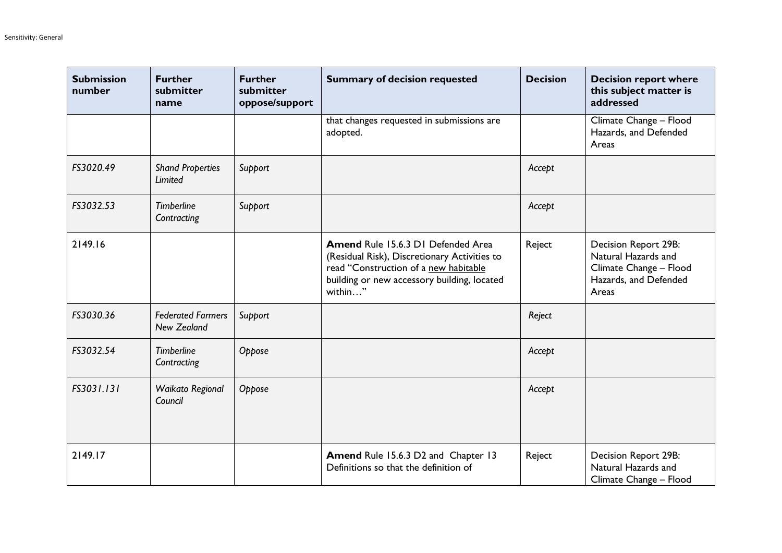| <b>Submission</b><br>number | <b>Further</b><br>submitter<br>name            | <b>Further</b><br>submitter<br>oppose/support | <b>Summary of decision requested</b>                                                                                                                                                         | <b>Decision</b> | <b>Decision report where</b><br>this subject matter is<br>addressed                                     |
|-----------------------------|------------------------------------------------|-----------------------------------------------|----------------------------------------------------------------------------------------------------------------------------------------------------------------------------------------------|-----------------|---------------------------------------------------------------------------------------------------------|
|                             |                                                |                                               | that changes requested in submissions are<br>adopted.                                                                                                                                        |                 | Climate Change - Flood<br>Hazards, and Defended<br>Areas                                                |
| FS3020.49                   | <b>Shand Properties</b><br>Limited             | Support                                       |                                                                                                                                                                                              | Accept          |                                                                                                         |
| FS3032.53                   | <b>Timberline</b><br>Contracting               | Support                                       |                                                                                                                                                                                              | Accept          |                                                                                                         |
| 2149.16                     |                                                |                                               | <b>Amend Rule 15.6.3 D1 Defended Area</b><br>(Residual Risk), Discretionary Activities to<br>read "Construction of a new habitable<br>building or new accessory building, located<br>within" | Reject          | Decision Report 29B:<br>Natural Hazards and<br>Climate Change - Flood<br>Hazards, and Defended<br>Areas |
| FS3030.36                   | <b>Federated Farmers</b><br><b>New Zealand</b> | Support                                       |                                                                                                                                                                                              | Reject          |                                                                                                         |
| FS3032.54                   | <b>Timberline</b><br>Contracting               | Oppose                                        |                                                                                                                                                                                              | Accept          |                                                                                                         |
| FS3031.131                  | Waikato Regional<br>Council                    | Oppose                                        |                                                                                                                                                                                              | Accept          |                                                                                                         |
| 2149.17                     |                                                |                                               | Amend Rule 15.6.3 D2 and Chapter 13<br>Definitions so that the definition of                                                                                                                 | Reject          | Decision Report 29B:<br>Natural Hazards and<br>Climate Change - Flood                                   |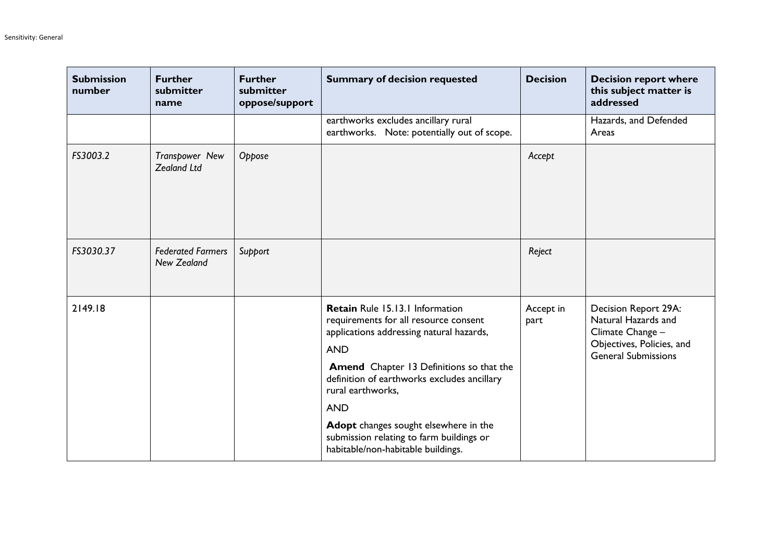| <b>Submission</b><br>number | <b>Further</b><br>submitter<br>name            | <b>Further</b><br>submitter<br>oppose/support | <b>Summary of decision requested</b>                                                                                                                                                                                                                                                                                                                                                               | <b>Decision</b>   | <b>Decision report where</b><br>this subject matter is<br>addressed                                                        |
|-----------------------------|------------------------------------------------|-----------------------------------------------|----------------------------------------------------------------------------------------------------------------------------------------------------------------------------------------------------------------------------------------------------------------------------------------------------------------------------------------------------------------------------------------------------|-------------------|----------------------------------------------------------------------------------------------------------------------------|
|                             |                                                |                                               | earthworks excludes ancillary rural<br>earthworks. Note: potentially out of scope.                                                                                                                                                                                                                                                                                                                 |                   | Hazards, and Defended<br>Areas                                                                                             |
| FS3003.2                    | Transpower New<br><b>Zealand Ltd</b>           | Oppose                                        |                                                                                                                                                                                                                                                                                                                                                                                                    | Accept            |                                                                                                                            |
| FS3030.37                   | <b>Federated Farmers</b><br><b>New Zealand</b> | Support                                       |                                                                                                                                                                                                                                                                                                                                                                                                    | Reject            |                                                                                                                            |
| 2149.18                     |                                                |                                               | Retain Rule 15.13.1 Information<br>requirements for all resource consent<br>applications addressing natural hazards,<br><b>AND</b><br><b>Amend</b> Chapter 13 Definitions so that the<br>definition of earthworks excludes ancillary<br>rural earthworks,<br><b>AND</b><br>Adopt changes sought elsewhere in the<br>submission relating to farm buildings or<br>habitable/non-habitable buildings. | Accept in<br>part | Decision Report 29A:<br>Natural Hazards and<br>Climate Change -<br>Objectives, Policies, and<br><b>General Submissions</b> |